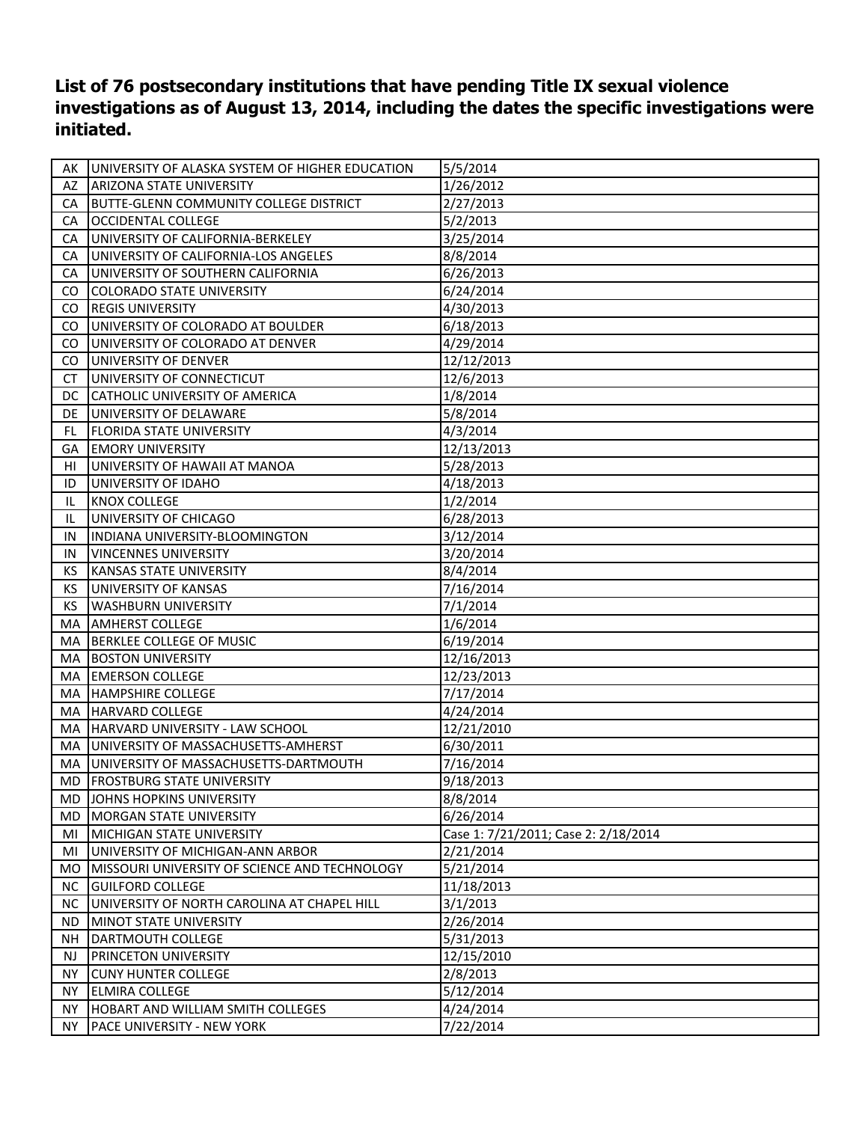**List of 76 postsecondary institutions that have pending Title IX sexual violence investigations as of August 13, 2014, including the dates the specific investigations were initiated.**

| AK  | UNIVERSITY OF ALASKA SYSTEM OF HIGHER EDUCATION      | 5/5/2014                             |
|-----|------------------------------------------------------|--------------------------------------|
| AZ  | <b>ARIZONA STATE UNIVERSITY</b>                      | 1/26/2012                            |
| CA  | <b>BUTTE-GLENN COMMUNITY COLLEGE DISTRICT</b>        | 2/27/2013                            |
| CA  | <b>OCCIDENTAL COLLEGE</b>                            | 5/2/2013                             |
| CA  | UNIVERSITY OF CALIFORNIA-BERKELEY                    | 3/25/2014                            |
| CA  | UNIVERSITY OF CALIFORNIA-LOS ANGELES                 | 8/8/2014                             |
| CA  | UNIVERSITY OF SOUTHERN CALIFORNIA                    | 6/26/2013                            |
| CO  | <b>COLORADO STATE UNIVERSITY</b>                     | 6/24/2014                            |
| CO  | <b>REGIS UNIVERSITY</b>                              | 4/30/2013                            |
| CO  | UNIVERSITY OF COLORADO AT BOULDER                    | 6/18/2013                            |
| CO  | UNIVERSITY OF COLORADO AT DENVER                     | 4/29/2014                            |
| CO. | UNIVERSITY OF DENVER                                 | 12/12/2013                           |
| СT  | UNIVERSITY OF CONNECTICUT                            | 12/6/2013                            |
| DC  | CATHOLIC UNIVERSITY OF AMERICA                       | 1/8/2014                             |
| DE  | UNIVERSITY OF DELAWARE                               | 5/8/2014                             |
| FL  | <b>FLORIDA STATE UNIVERSITY</b>                      | 4/3/2014                             |
| GA  | <b>EMORY UNIVERSITY</b>                              | 12/13/2013                           |
| HI  | UNIVERSITY OF HAWAII AT MANOA                        | 5/28/2013                            |
| ID  | UNIVERSITY OF IDAHO                                  | 4/18/2013                            |
| IL  | <b>KNOX COLLEGE</b>                                  | 1/2/2014                             |
| IL  | UNIVERSITY OF CHICAGO                                | 6/28/2013                            |
| IN  | INDIANA UNIVERSITY-BLOOMINGTON                       | 3/12/2014                            |
| IN  | <b>VINCENNES UNIVERSITY</b>                          | 3/20/2014                            |
| KS  | <b>KANSAS STATE UNIVERSITY</b>                       | 8/4/2014                             |
| KS  | UNIVERSITY OF KANSAS                                 | 7/16/2014                            |
| KS  | <b>WASHBURN UNIVERSITY</b>                           | 7/1/2014                             |
| MA  | <b>AMHERST COLLEGE</b>                               | 1/6/2014                             |
| MA  | BERKLEE COLLEGE OF MUSIC                             | 6/19/2014                            |
| MA  | <b>BOSTON UNIVERSITY</b>                             | 12/16/2013                           |
| MA  | <b>EMERSON COLLEGE</b>                               | 12/23/2013                           |
| MA  | <b>HAMPSHIRE COLLEGE</b>                             | 7/17/2014                            |
| MA  | <b>HARVARD COLLEGE</b>                               | 4/24/2014                            |
| MA  | HARVARD UNIVERSITY - LAW SCHOOL                      | 12/21/2010                           |
| MA  | UNIVERSITY OF MASSACHUSETTS-AMHERST                  | 6/30/2011                            |
| MA  | UNIVERSITY OF MASSACHUSETTS-DARTMOUTH                | 7/16/2014                            |
|     | MD   FROSTBURG STATE UNIVERSITY                      | 9/18/2013                            |
|     | MD JOHNS HOPKINS UNIVERSITY                          | 8/8/2014                             |
|     | MD MORGAN STATE UNIVERSITY                           | 6/26/2014                            |
| MI  | MICHIGAN STATE UNIVERSITY                            | Case 1: 7/21/2011; Case 2: 2/18/2014 |
| MI  | UNIVERSITY OF MICHIGAN-ANN ARBOR                     | 2/21/2014                            |
| MO  | <b>MISSOURI UNIVERSITY OF SCIENCE AND TECHNOLOGY</b> | 5/21/2014                            |
| NC. | <b>GUILFORD COLLEGE</b>                              | 11/18/2013                           |
| NC  | UNIVERSITY OF NORTH CAROLINA AT CHAPEL HILL          | 3/1/2013                             |
| ND. | <b>MINOT STATE UNIVERSITY</b>                        | 2/26/2014                            |
| NΗ  | DARTMOUTH COLLEGE                                    | 5/31/2013                            |
| NJ  | <b>PRINCETON UNIVERSITY</b>                          | 12/15/2010                           |
| NY. | <b>CUNY HUNTER COLLEGE</b>                           | 2/8/2013                             |
| NY  | <b>ELMIRA COLLEGE</b>                                | 5/12/2014                            |
| NY  | <b>HOBART AND WILLIAM SMITH COLLEGES</b>             | 4/24/2014                            |
| NY. | PACE UNIVERSITY - NEW YORK                           | 7/22/2014                            |